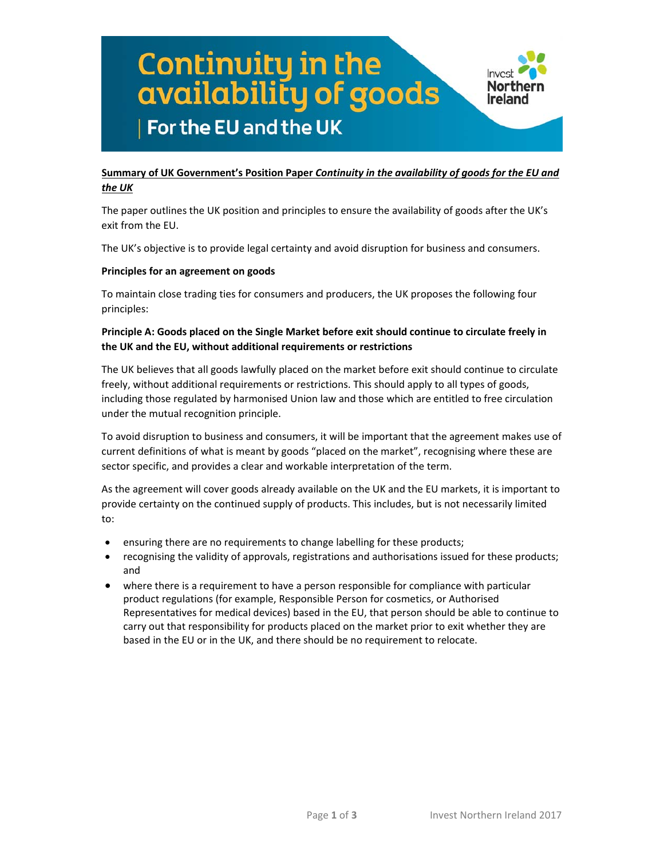## Continuity in the<br>availability of goods Northern Ireland For the EU and the UK

#### **Summary of UK Government's Position Paper** *Continuity in the availability of goods for the EU and the UK*

The paper outlines the UK position and principles to ensure the availability of goods after the UK's exit from the EU.

The UK's objective is to provide legal certainty and avoid disruption for business and consumers.

#### **Principles for an agreement on goods**

To maintain close trading ties for consumers and producers, the UK proposes the following four principles:

#### **Principle A: Goods placed on the Single Market before exit should continue to circulate freely in the UK and the EU, without additional requirements or restrictions**

The UK believes that all goods lawfully placed on the market before exit should continue to circulate freely, without additional requirements or restrictions. This should apply to all types of goods, including those regulated by harmonised Union law and those which are entitled to free circulation under the mutual recognition principle.

To avoid disruption to business and consumers, it will be important that the agreement makes use of current definitions of what is meant by goods "placed on the market", recognising where these are sector specific, and provides a clear and workable interpretation of the term.

As the agreement will cover goods already available on the UK and the EU markets, it is important to provide certainty on the continued supply of products. This includes, but is not necessarily limited to:

- ensuring there are no requirements to change labelling for these products;
- recognising the validity of approvals, registrations and authorisations issued for these products; and
- where there is a requirement to have a person responsible for compliance with particular product regulations (for example, Responsible Person for cosmetics, or Authorised Representatives for medical devices) based in the EU, that person should be able to continue to carry out that responsibility for products placed on the market prior to exit whether they are based in the EU or in the UK, and there should be no requirement to relocate.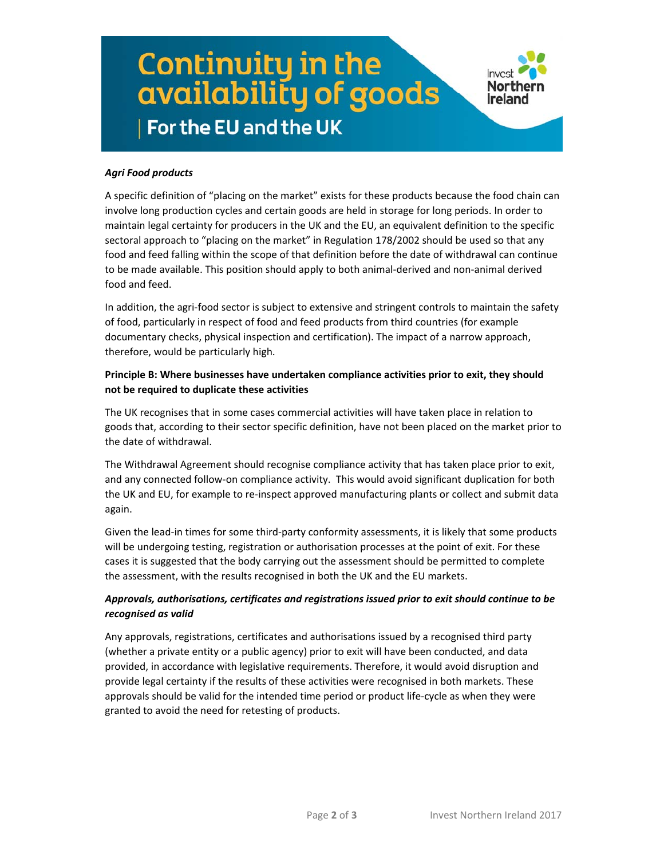# Continuity in the<br>availability of goods For the EU and the UK



#### *Agri Food products*

A specific definition of "placing on the market" exists for these products because the food chain can involve long production cycles and certain goods are held in storage for long periods. In order to maintain legal certainty for producers in the UK and the EU, an equivalent definition to the specific sectoral approach to "placing on the market" in Regulation 178/2002 should be used so that any food and feed falling within the scope of that definition before the date of withdrawal can continue to be made available. This position should apply to both animal-derived and non-animal derived food and feed.

In addition, the agri-food sector is subject to extensive and stringent controls to maintain the safety of food, particularly in respect of food and feed products from third countries (for example documentary checks, physical inspection and certification). The impact of a narrow approach, therefore, would be particularly high.

#### **Principle B: Where businesses have undertaken compliance activities prior to exit, they should not be required to duplicate these activities**

The UK recognises that in some cases commercial activities will have taken place in relation to goods that, according to their sector specific definition, have not been placed on the market prior to the date of withdrawal.

The Withdrawal Agreement should recognise compliance activity that has taken place prior to exit, and any connected follow‐on compliance activity. This would avoid significant duplication for both the UK and EU, for example to re‐inspect approved manufacturing plants or collect and submit data again.

Given the lead-in times for some third-party conformity assessments, it is likely that some products will be undergoing testing, registration or authorisation processes at the point of exit. For these cases it is suggested that the body carrying out the assessment should be permitted to complete the assessment, with the results recognised in both the UK and the EU markets.

#### *Approvals, authorisations, certificates and registrations issued prior to exit should continue to be recognised as valid*

Any approvals, registrations, certificates and authorisations issued by a recognised third party (whether a private entity or a public agency) prior to exit will have been conducted, and data provided, in accordance with legislative requirements. Therefore, it would avoid disruption and provide legal certainty if the results of these activities were recognised in both markets. These approvals should be valid for the intended time period or product life‐cycle as when they were granted to avoid the need for retesting of products.